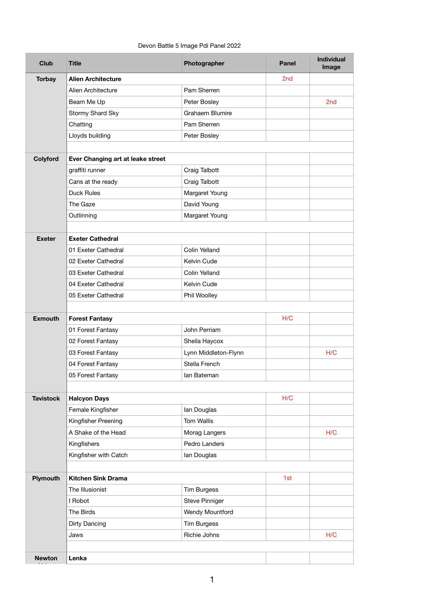## Devon Battle 5 Image Pdi Panel 2022

| <b>Club</b>      | <b>Title</b>                      | Photographer           | <b>Panel</b> | <b>Individual</b><br>Image |
|------------------|-----------------------------------|------------------------|--------------|----------------------------|
| <b>Torbay</b>    | <b>Alien Architecture</b>         |                        | 2nd          |                            |
|                  | <b>Alien Architecture</b>         | Pam Sherren            |              |                            |
|                  | Beam Me Up                        | Peter Bosley           |              | 2 <sub>nd</sub>            |
|                  | Stormy Shard Sky                  | <b>Grahaem Blumire</b> |              |                            |
|                  | Chatting                          | Pam Sherren            |              |                            |
|                  | Lloyds building                   | Peter Bosley           |              |                            |
|                  |                                   |                        |              |                            |
| Colyford         | Ever Changing art at leake street |                        |              |                            |
|                  | graffiti runner                   | <b>Craig Talbott</b>   |              |                            |
|                  | Cans at the ready                 | Craig Talbott          |              |                            |
|                  | <b>Duck Rules</b>                 | Margaret Young         |              |                            |
|                  | The Gaze                          | David Young            |              |                            |
|                  | Outlinning                        | Margaret Young         |              |                            |
|                  |                                   |                        |              |                            |
| <b>Exeter</b>    | <b>Exeter Cathedral</b>           |                        |              |                            |
|                  | 01 Exeter Cathedral               | <b>Colin Yelland</b>   |              |                            |
|                  | 02 Exeter Cathedral               | Kelvin Cude            |              |                            |
|                  | 03 Exeter Cathedral               | <b>Colin Yelland</b>   |              |                            |
|                  | 04 Exeter Cathedral               | Kelvin Cude            |              |                            |
|                  | 05 Exeter Cathedral               | Phil Woolley           |              |                            |
|                  |                                   |                        |              |                            |
| <b>Exmouth</b>   | <b>Forest Fantasy</b>             |                        | H/C          |                            |
|                  | 01 Forest Fantasy                 | John Perriam           |              |                            |
|                  | 02 Forest Fantasy                 | Sheila Haycox          |              |                            |
|                  | 03 Forest Fantasy                 | Lynn Middleton-Flynn   |              | H/C                        |
|                  | 04 Forest Fantasy                 | Stella French          |              |                            |
|                  | 05 Forest Fantasy                 | lan Bateman            |              |                            |
|                  |                                   |                        |              |                            |
| <b>Tavistock</b> | <b>Halcyon Days</b>               |                        | H/C          |                            |
|                  | Female Kingfisher                 | lan Douglas            |              |                            |
|                  | Kingfisher Preening               | <b>Tom Wallis</b>      |              |                            |
|                  | A Shake of the Head               | Morag Langers          |              | H/C                        |
|                  | Kingfishers                       | Pedro Landers          |              |                            |
|                  | Kingfisher with Catch             | lan Douglas            |              |                            |
| <b>Plymouth</b>  | <b>Kitchen Sink Drama</b>         |                        | 1st          |                            |
|                  | The Illusionist                   | <b>Tim Burgess</b>     |              |                            |
|                  | I Robot                           | <b>Steve Pinniger</b>  |              |                            |
|                  | The Birds                         | <b>Wendy Mountford</b> |              |                            |
|                  | <b>Dirty Dancing</b>              | <b>Tim Burgess</b>     |              |                            |
|                  | Jaws                              | Richie Johns           |              | H/C                        |
|                  |                                   |                        |              |                            |
| <b>Newton</b>    | Lenka                             |                        |              |                            |

1